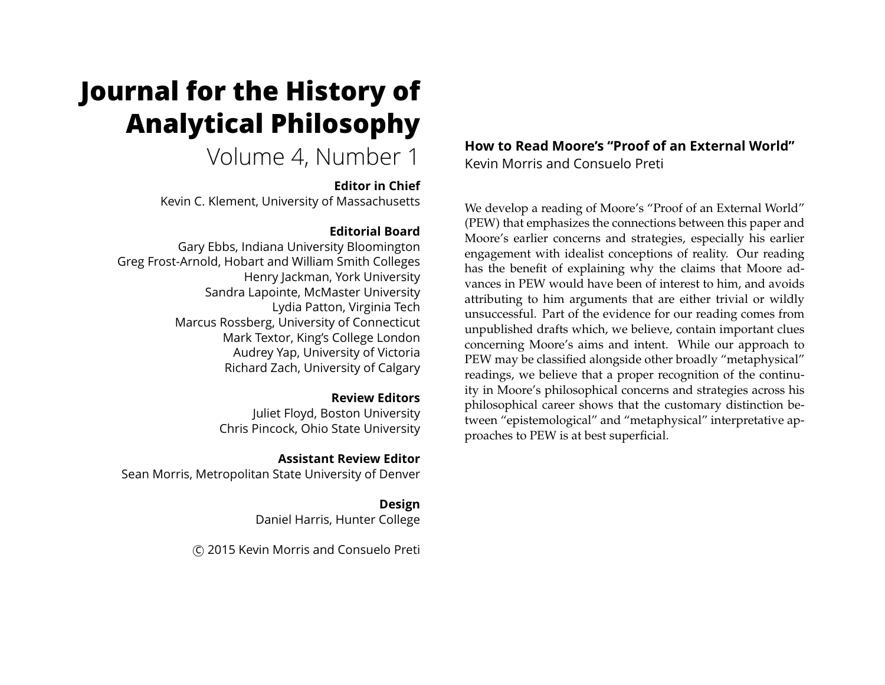# **Journal for the History of Analytical Philosophy**

Volume 4, Number 1

**Editor in Chief**

Kevin C. Klement, University of Massachusetts

## **Editorial Board**

Gary Ebbs, Indiana University Bloomington Greg Frost-Arnold, Hobart and William Smith Colleges Henry Jackman, York University Sandra Lapointe, McMaster University Lydia Patton, Virginia Tech Marcus Rossberg, University of Connecticut Mark Textor, King's College London Audrey Yap, University of Victoria Richard Zach, University of Calgary

## **Review Editors**

Juliet Floyd, Boston University Chris Pincock, Ohio State University

## **Assistant Review Editor**

Sean Morris, Metropolitan State University of Denver

**Design** Daniel Harris, Hunter College

c 2015 Kevin Morris and Consuelo Preti

## **How to Read Moore's "Proof of an External World"** Kevin Morris and Consuelo Preti

We develop a reading of Moore's "Proof of an External World" (PEW) that emphasizes the connections between this paper and Moore's earlier concerns and strategies, especially his earlier engagement with idealist conceptions of reality. Our reading has the benefit of explaining why the claims that Moore advances in PEW would have been of interest to him, and avoids attributing to him arguments that are either trivial or wildly unsuccessful. Part of the evidence for our reading comes from unpublished drafts which, we believe, contain important clues concerning Moore's aims and intent. While our approach to PEW may be classified alongside other broadly "metaphysical" readings, we believe that a proper recognition of the continuity in Moore's philosophical concerns and strategies across his philosophical career shows that the customary distinction between "epistemological" and "metaphysical" interpretative approaches to PEW is at best superficial.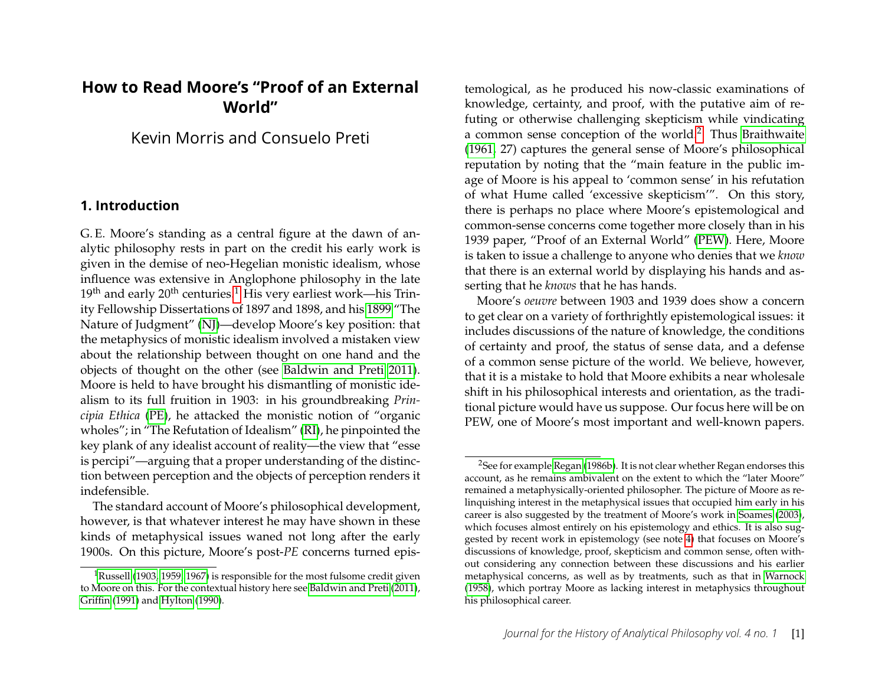# **How to Read Moore's "Proof of an External World"**

Kevin Morris and Consuelo Preti

#### **1. Introduction**

G. E. Moore's standing as a central figure at the dawn of analytic philosophy rests in part on the credit his early work is given in the demise of neo-Hegelian monistic idealism, whose influence was extensive in Anglophone philosophy in the late  $19<sup>th</sup>$  $19<sup>th</sup>$  and early  $20<sup>th</sup>$  centuries.<sup>1</sup> His very earliest work—his Trinity Fellowship Dissertations of 1897 and 1898, and his [1899](#page-15-0) "The Nature of Judgment" [\(NJ\)](#page-15-0)—develop Moore's key position: that the metaphysics of monistic idealism involved a mistaken view about the relationship between thought on one hand and the objects of thought on the other (see [Baldwin and Preti 2011\)](#page-14-0). Moore is held to have brought his dismantling of monistic idealism to its full fruition in 1903: in his groundbreaking *Principia Ethica* [\(PE\)](#page-15-1), he attacked the monistic notion of "organic wholes"; in "The Refutation of Idealism" [\(RI\)](#page-15-2), he pinpointed the key plank of any idealist account of reality—the view that "esse is percipi"—arguing that a proper understanding of the distinction between perception and the objects of perception renders it indefensible.

The standard account of Moore's philosophical development, however, is that whatever interest he may have shown in these kinds of metaphysical issues waned not long after the early 1900s. On this picture, Moore's post-*PE* concerns turned epistemological, as he produced his now-classic examinations of knowledge, certainty, and proof, with the putative aim of refuting or otherwise challenging skepticism while vindicating a common sense conception of the world.<sup>[2](#page-1-1)</sup> Thus [Braithwaite](#page-14-1) [\(1961,](#page-14-1) 27) captures the general sense of Moore's philosophical reputation by noting that the "main feature in the public image of Moore is his appeal to 'common sense' in his refutation of what Hume called 'excessive skepticism'". On this story, there is perhaps no place where Moore's epistemological and common-sense concerns come together more closely than in his 1939 paper, "Proof of an External World" [\(PEW\)](#page-15-5). Here, Moore is taken to issue a challenge to anyone who denies that we *know* that there is an external world by displaying his hands and asserting that he *knows* that he has hands.

Moore's *oeuvre* between 1903 and 1939 does show a concern to get clear on a variety of forthrightly epistemological issues: it includes discussions of the nature of knowledge, the conditions of certainty and proof, the status of sense data, and a defense of a common sense picture of the world. We believe, however, that it is a mistake to hold that Moore exhibits a near wholesale shift in his philosophical interests and orientation, as the traditional picture would have us suppose. Our focus here will be on PEW, one of Moore's most important and well-known papers.

<span id="page-1-0"></span><sup>&</sup>lt;sup>1</sup>[Russell \(1903,](#page-16-0) [1959,](#page-16-1) [1967\)](#page-16-2) is responsible for the most fulsome credit given to Moore on this. For the contextual history here see [Baldwin and Preti \(2011\)](#page-14-0), [Griffin](#page-15-3) [\(1991\)](#page-15-3) and [Hylton](#page-15-4) [\(1990\)](#page-15-4).

<span id="page-1-1"></span><sup>&</sup>lt;sup>2</sup>See for example [Regan \(1986b\)](#page-16-3). It is not clear whether Regan endorses this account, as he remains ambivalent on the extent to which the "later Moore" remained a metaphysically-oriented philosopher. The picture of Moore as relinquishing interest in the metaphysical issues that occupied him early in his career is also suggested by the treatment of Moore's work in [Soames \(2003\)](#page-16-4), which focuses almost entirely on his epistemology and ethics. It is also suggested by recent work in epistemology (see note [4\)](#page-2-0) that focuses on Moore's discussions of knowledge, proof, skepticism and common sense, often without considering any connection between these discussions and his earlier metaphysical concerns, as well as by treatments, such as that in [Warnock](#page-16-5) [\(1958\)](#page-16-5), which portray Moore as lacking interest in metaphysics throughout his philosophical career.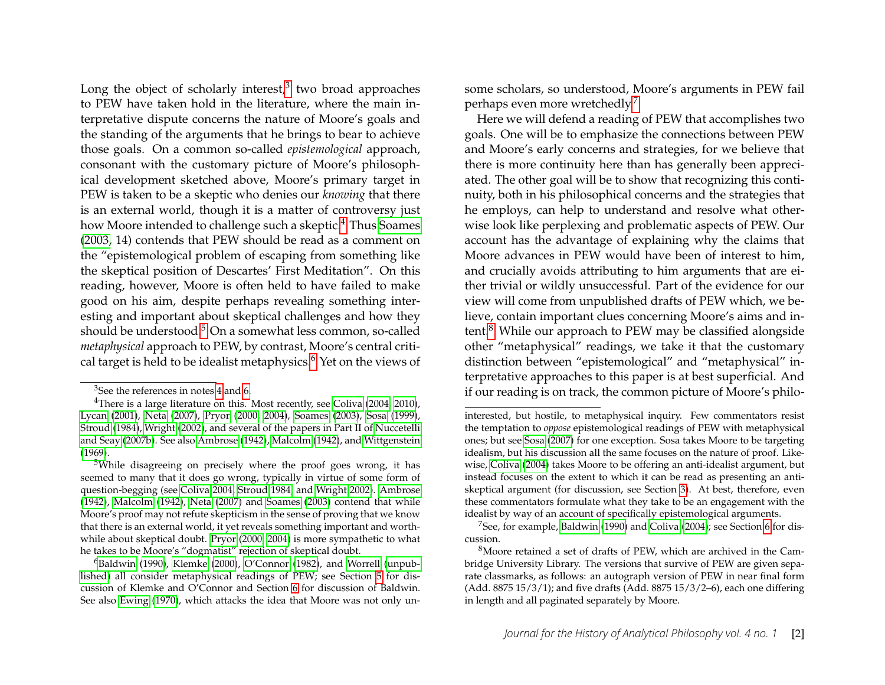Long the object of scholarly interest, $3$  two broad approaches to PEW have taken hold in the literature, where the main interpretative dispute concerns the nature of Moore's goals and the standing of the arguments that he brings to bear to achieve those goals. On a common so-called *epistemological* approach, consonant with the customary picture of Moore's philosophical development sketched above, Moore's primary target in PEW is taken to be a skeptic who denies our *knowing* that there is an external world, though it is a matter of controversy just how Moore intended to challenge such a skeptic.<sup>[4](#page-2-0)</sup> Thus [Soames](#page-16-4) [\(2003,](#page-16-4) 14) contends that PEW should be read as a comment on the "epistemological problem of escaping from something like the skeptical position of Descartes' First Meditation". On this reading, however, Moore is often held to have failed to make good on his aim, despite perhaps revealing something interesting and important about skeptical challenges and how they should be understood.<sup>[5](#page-2-2)</sup> On a somewhat less common, so-called *metaphysical* approach to PEW, by contrast, Moore's central critical target is held to be idealist metaphysics. $6$  Yet on the views of some scholars, so understood, Moore's arguments in PEW fail perhaps even more wretchedly.[7](#page-2-4)

Here we will defend a reading of PEW that accomplishes two goals. One will be to emphasize the connections between PEW and Moore's early concerns and strategies, for we believe that there is more continuity here than has generally been appreciated. The other goal will be to show that recognizing this continuity, both in his philosophical concerns and the strategies that he employs, can help to understand and resolve what otherwise look like perplexing and problematic aspects of PEW. Our account has the advantage of explaining why the claims that Moore advances in PEW would have been of interest to him, and crucially avoids attributing to him arguments that are either trivial or wildly unsuccessful. Part of the evidence for our view will come from unpublished drafts of PEW which, we believe, contain important clues concerning Moore's aims and intent.[8](#page-2-5) While our approach to PEW may be classified alongside other "metaphysical" readings, we take it that the customary distinction between "epistemological" and "metaphysical" interpretative approaches to this paper is at best superficial. And if our reading is on track, the common picture of Moore's philo-

<span id="page-2-1"></span><span id="page-2-0"></span> $3$ See the references in notes [4](#page-2-0) and [6.](#page-2-3)

<sup>&</sup>lt;sup>4</sup>There is a large literature on this. Most recently, see [Coliva \(2004,](#page-14-2) [2010\)](#page-14-3), [Lycan \(2001\)](#page-15-6), [Neta \(2007\)](#page-16-6), [Pryor \(2000,](#page-16-7) [2004\)](#page-16-8), [Soames \(2003\)](#page-16-4), [Sosa \(1999\)](#page-16-9), [Stroud \(1984\)](#page-16-10), [Wright \(2002\)](#page-16-11), and several of the papers in Part II of [Nuccetelli](#page-16-12) [and Seay](#page-16-12) [\(2007b\)](#page-16-12). See also [Ambrose \(1942\)](#page-14-4), [Malcolm \(1942\)](#page-15-7), and [Wittgenstein](#page-16-13) [\(1969\)](#page-16-13).

<span id="page-2-2"></span><sup>5</sup>While disagreeing on precisely where the proof goes wrong, it has seemed to many that it does go wrong, typically in virtue of some form of question-begging (see [Coliva 2004,](#page-14-2) [Stroud 1984,](#page-16-10) and [Wright 2002\)](#page-16-11). [Ambrose](#page-14-4) [\(1942\)](#page-14-4), [Malcolm \(1942\)](#page-15-7), [Neta](#page-16-6) [\(2007\)](#page-16-6) and [Soames \(2003\)](#page-16-4) contend that while Moore's proof may not refute skepticism in the sense of proving that we know that there is an external world, it yet reveals something important and worthwhile about skeptical doubt. [Pryor](#page-16-7) [\(2000,](#page-16-7) [2004\)](#page-16-8) is more sympathetic to what he takes to be Moore's "dogmatist" rejection of skeptical doubt.

<span id="page-2-3"></span><sup>&</sup>lt;sup>6</sup>[Baldwin \(1990\)](#page-14-5), [Klemke \(2000\)](#page-15-8), [O'Connor \(1982\)](#page-16-14), and [Worrell](#page-16-15) [\(unpub](#page-16-15)[lished\)](#page-16-15) all consider metaphysical readings of PEW; see Section [5](#page-9-0) for discussion of Klemke and O'Connor and Section [6](#page-11-0) for discussion of Baldwin. See also [Ewing \(1970\)](#page-14-6), which attacks the idea that Moore was not only un-

interested, but hostile, to metaphysical inquiry. Few commentators resist the temptation to *oppose* epistemological readings of PEW with metaphysical ones; but see [Sosa \(2007\)](#page-16-16) for one exception. Sosa takes Moore to be targeting idealism, but his discussion all the same focuses on the nature of proof. Likewise, [Coliva \(2004\)](#page-14-2) takes Moore to be offering an anti-idealist argument, but instead focuses on the extent to which it can be read as presenting an antiskeptical argument (for discussion, see Section [3\)](#page-4-0). At best, therefore, even these commentators formulate what they take to be an engagement with the idealist by way of an account of specifically epistemological arguments.

<span id="page-2-4"></span><sup>&</sup>lt;sup>7</sup>See, for example, [Baldwin \(1990\)](#page-14-5) and [Coliva \(2004\)](#page-14-2); see Section [6](#page-11-0) for discussion.

<span id="page-2-5"></span><sup>&</sup>lt;sup>8</sup>Moore retained a set of drafts of PEW, which are archived in the Cambridge University Library. The versions that survive of PEW are given separate classmarks, as follows: an autograph version of PEW in near final form (Add. 8875 15/3/1); and five drafts (Add. 8875 15/3/2–6), each one differing in length and all paginated separately by Moore.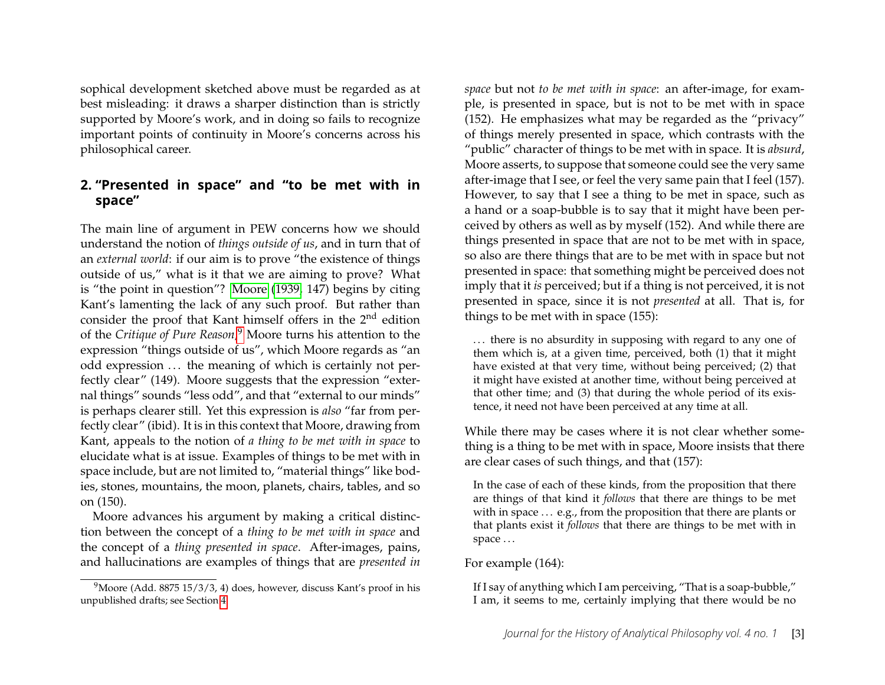sophical development sketched above must be regarded as at best misleading: it draws a sharper distinction than is strictly supported by Moore's work, and in doing so fails to recognize important points of continuity in Moore's concerns across his philosophical career.

## <span id="page-3-1"></span>**2. "Presented in space" and "to be met with in space"**

The main line of argument in PEW concerns how we should understand the notion of *things outside of us*, and in turn that of an *external world*: if our aim is to prove "the existence of things outside of us," what is it that we are aiming to prove? What is "the point in question"? [Moore \(1939,](#page-15-5) 147) begins by citing Kant's lamenting the lack of any such proof. But rather than consider the proof that Kant himself offers in the 2nd edition of the *Critique of Pure Reason*, [9](#page-3-0) Moore turns his attention to the expression "things outside of us", which Moore regards as "an odd expression ... the meaning of which is certainly not perfectly clear" (149). Moore suggests that the expression "external things" sounds "less odd", and that "external to our minds" is perhaps clearer still. Yet this expression is *also* "far from perfectly clear" (ibid). It is in this context that Moore, drawing from Kant, appeals to the notion of *a thing to be met with in space* to elucidate what is at issue. Examples of things to be met with in space include, but are not limited to, "material things" like bodies, stones, mountains, the moon, planets, chairs, tables, and so on (150).

Moore advances his argument by making a critical distinction between the concept of a *thing to be met with in space* and the concept of a *thing presented in space*. After-images, pains, and hallucinations are examples of things that are *presented in* *space* but not *to be met with in space*: an after-image, for example, is presented in space, but is not to be met with in space (152). He emphasizes what may be regarded as the "privacy" of things merely presented in space, which contrasts with the "public" character of things to be met with in space. It is *absurd*, Moore asserts, to suppose that someone could see the very same after-image that I see, or feel the very same pain that I feel (157). However, to say that I see a thing to be met in space, such as a hand or a soap-bubble is to say that it might have been perceived by others as well as by myself (152). And while there are things presented in space that are not to be met with in space, so also are there things that are to be met with in space but not presented in space: that something might be perceived does not imply that it *is* perceived; but if a thing is not perceived, it is not presented in space, since it is not *presented* at all. That is, for things to be met with in space (155):

... there is no absurdity in supposing with regard to any one of them which is, at a given time, perceived, both (1) that it might have existed at that very time, without being perceived; (2) that it might have existed at another time, without being perceived at that other time; and (3) that during the whole period of its existence, it need not have been perceived at any time at all.

While there may be cases where it is not clear whether something is a thing to be met with in space, Moore insists that there are clear cases of such things, and that (157):

In the case of each of these kinds, from the proposition that there are things of that kind it *follows* that there are things to be met with in space ... e.g., from the proposition that there are plants or that plants exist it *follows* that there are things to be met with in space ...

#### For example (164):

If I say of anything which I am perceiving, "That is a soap-bubble," I am, it seems to me, certainly implying that there would be no

<span id="page-3-0"></span> $9^9$ Moore (Add. 8875 15/3/3, 4) does, however, discuss Kant's proof in his unpublished drafts; see Section [4.](#page-6-0)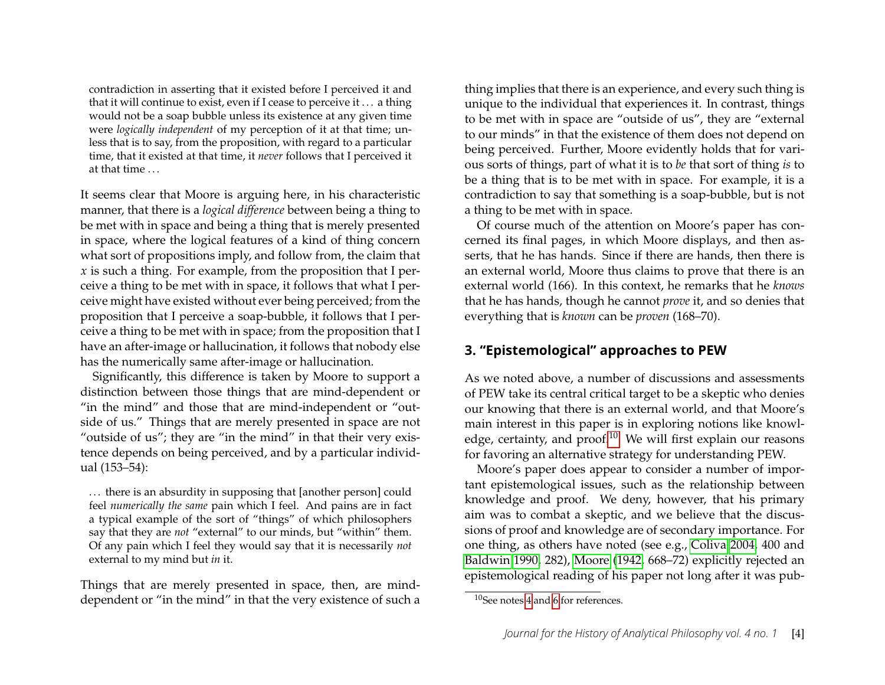contradiction in asserting that it existed before I perceived it and that it will continue to exist, even if I cease to perceive it . . . a thing would not be a soap bubble unless its existence at any given time were *logically independent* of my perception of it at that time; unless that is to say, from the proposition, with regard to a particular time, that it existed at that time, it *never* follows that I perceived it at that time . . .

It seems clear that Moore is arguing here, in his characteristic manner, that there is a *logical difference* between being a thing to be met with in space and being a thing that is merely presented in space, where the logical features of a kind of thing concern what sort of propositions imply, and follow from, the claim that *x* is such a thing. For example, from the proposition that I perceive a thing to be met with in space, it follows that what I perceive might have existed without ever being perceived; from the proposition that I perceive a soap-bubble, it follows that I perceive a thing to be met with in space; from the proposition that I have an after-image or hallucination, it follows that nobody else has the numerically same after-image or hallucination.

Significantly, this difference is taken by Moore to support a distinction between those things that are mind-dependent or "in the mind" and those that are mind-independent or "outside of us." Things that are merely presented in space are not "outside of us"; they are "in the mind" in that their very existence depends on being perceived, and by a particular individual (153–54):

... there is an absurdity in supposing that [another person] could feel *numerically the same* pain which I feel. And pains are in fact a typical example of the sort of "things" of which philosophers say that they are *not* "external" to our minds, but "within" them. Of any pain which I feel they would say that it is necessarily *not* external to my mind but *in* it.

Things that are merely presented in space, then, are minddependent or "in the mind" in that the very existence of such a

thing implies that there is an experience, and every such thing is unique to the individual that experiences it. In contrast, things to be met with in space are "outside of us", they are "external to our minds" in that the existence of them does not depend on being perceived. Further, Moore evidently holds that for various sorts of things, part of what it is to *be* that sort of thing *is* to be a thing that is to be met with in space. For example, it is a contradiction to say that something is a soap-bubble, but is not a thing to be met with in space.

Of course much of the attention on Moore's paper has concerned its final pages, in which Moore displays, and then asserts, that he has hands. Since if there are hands, then there is an external world, Moore thus claims to prove that there is an external world (166). In this context, he remarks that he *knows* that he has hands, though he cannot *prove* it, and so denies that everything that is *known* can be *proven* (168–70).

## <span id="page-4-0"></span>**3. "Epistemological" approaches to PEW**

As we noted above, a number of discussions and assessments of PEW take its central critical target to be a skeptic who denies our knowing that there is an external world, and that Moore's main interest in this paper is in exploring notions like knowledge, certainty, and proof. $10$  We will first explain our reasons for favoring an alternative strategy for understanding PEW.

Moore's paper does appear to consider a number of important epistemological issues, such as the relationship between knowledge and proof. We deny, however, that his primary aim was to combat a skeptic, and we believe that the discussions of proof and knowledge are of secondary importance. For one thing, as others have noted (see e.g., [Coliva 2004,](#page-14-2) 400 and [Baldwin 1990,](#page-14-5) 282), [Moore \(1942,](#page-15-9) 668–72) explicitly rejected an epistemological reading of his paper not long after it was pub-

<span id="page-4-1"></span><sup>10</sup>See notes [4](#page-2-0) and [6](#page-2-3) for references.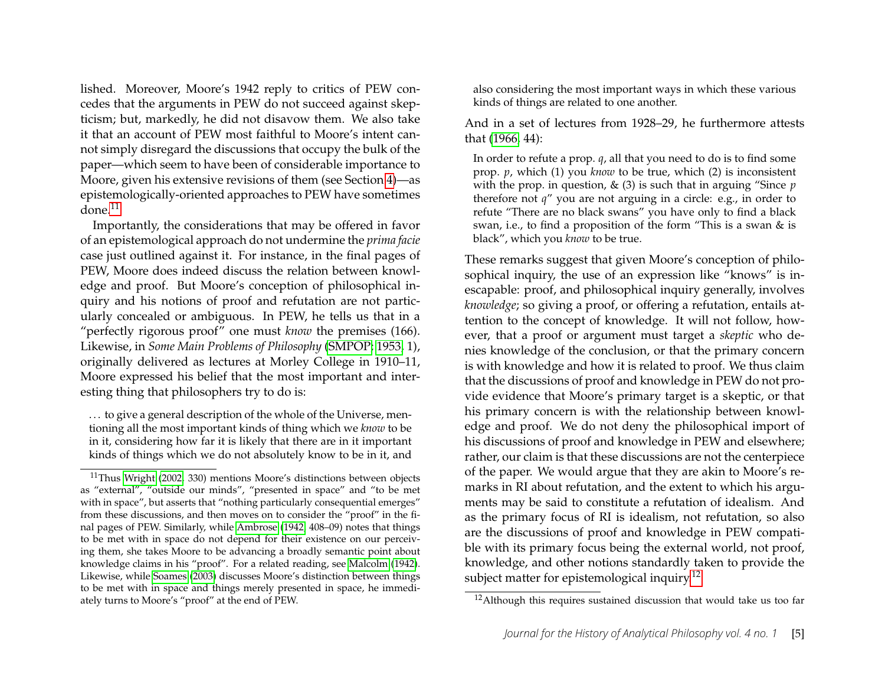lished. Moreover, Moore's 1942 reply to critics of PEW concedes that the arguments in PEW do not succeed against skepticism; but, markedly, he did not disavow them. We also take it that an account of PEW most faithful to Moore's intent cannot simply disregard the discussions that occupy the bulk of the paper—which seem to have been of considerable importance to Moore, given his extensive revisions of them (see Section [4\)](#page-6-0)—as epistemologically-oriented approaches to PEW have sometimes  $done<sup>11</sup>$  $done<sup>11</sup>$  $done<sup>11</sup>$ 

Importantly, the considerations that may be offered in favor of an epistemological approach do not undermine the *prima facie* case just outlined against it. For instance, in the final pages of PEW, Moore does indeed discuss the relation between knowledge and proof. But Moore's conception of philosophical inquiry and his notions of proof and refutation are not particularly concealed or ambiguous. In PEW, he tells us that in a "perfectly rigorous proof" one must *know* the premises (166). Likewise, in *Some Main Problems of Philosophy* [\(SMPOP; 1953,](#page-15-10) 1), originally delivered as lectures at Morley College in 1910–11, Moore expressed his belief that the most important and interesting thing that philosophers try to do is:

... to give a general description of the whole of the Universe, mentioning all the most important kinds of thing which we *know* to be in it, considering how far it is likely that there are in it important kinds of things which we do not absolutely know to be in it, and also considering the most important ways in which these various kinds of things are related to one another.

And in a set of lectures from 1928–29, he furthermore attests that [\(1966,](#page-16-17) 44):

In order to refute a prop. *q*, all that you need to do is to find some prop. *p*, which (1) you *know* to be true, which (2) is inconsistent with the prop. in question, & (3) is such that in arguing "Since *p* therefore not *q*" you are not arguing in a circle: e.g., in order to refute "There are no black swans" you have only to find a black swan, i.e., to find a proposition of the form "This is a swan & is black", which you *know* to be true.

These remarks suggest that given Moore's conception of philosophical inquiry, the use of an expression like "knows" is inescapable: proof, and philosophical inquiry generally, involves *knowledge*; so giving a proof, or offering a refutation, entails attention to the concept of knowledge. It will not follow, however, that a proof or argument must target a *skeptic* who denies knowledge of the conclusion, or that the primary concern is with knowledge and how it is related to proof. We thus claim that the discussions of proof and knowledge in PEW do not provide evidence that Moore's primary target is a skeptic, or that his primary concern is with the relationship between knowledge and proof. We do not deny the philosophical import of his discussions of proof and knowledge in PEW and elsewhere; rather, our claim is that these discussions are not the centerpiece of the paper. We would argue that they are akin to Moore's remarks in RI about refutation, and the extent to which his arguments may be said to constitute a refutation of idealism. And as the primary focus of RI is idealism, not refutation, so also are the discussions of proof and knowledge in PEW compatible with its primary focus being the external world, not proof, knowledge, and other notions standardly taken to provide the subject matter for epistemological inquiry.<sup>[12](#page-5-1)</sup>

<span id="page-5-0"></span> $11$ Thus [Wright \(2002,](#page-16-11) 330) mentions Moore's distinctions between objects as "external", "outside our minds", "presented in space" and "to be met with in space", but asserts that "nothing particularly consequential emerges" from these discussions, and then moves on to consider the "proof" in the final pages of PEW. Similarly, while [Ambrose \(1942,](#page-14-4) 408–09) notes that things to be met with in space do not depend for their existence on our perceiving them, she takes Moore to be advancing a broadly semantic point about knowledge claims in his "proof". For a related reading, see [Malcolm \(1942\)](#page-15-7). Likewise, while [Soames \(2003\)](#page-16-4) discusses Moore's distinction between things to be met with in space and things merely presented in space, he immediately turns to Moore's "proof" at the end of PEW.

<span id="page-5-1"></span><sup>&</sup>lt;sup>12</sup>Although this requires sustained discussion that would take us too far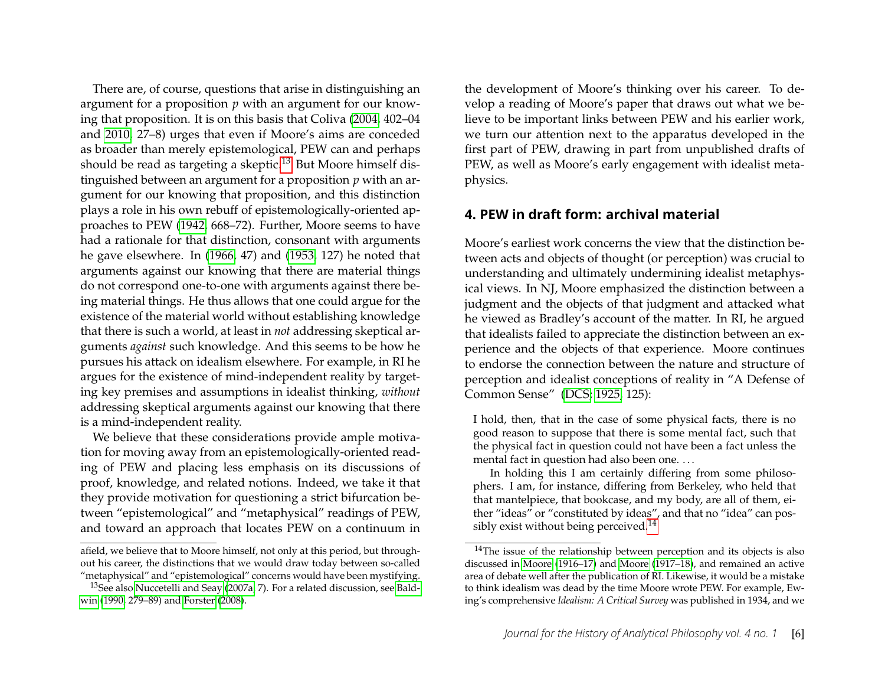There are, of course, questions that arise in distinguishing an argument for a proposition *p* with an argument for our knowing that proposition. It is on this basis that Coliva [\(2004,](#page-14-2) 402–04 and [2010,](#page-14-3) 27–8) urges that even if Moore's aims are conceded as broader than merely epistemological, PEW can and perhaps should be read as targeting a skeptic.<sup>[13](#page-6-1)</sup> But Moore himself distinguished between an argument for a proposition *p* with an argument for our knowing that proposition, and this distinction plays a role in his own rebuff of epistemologically-oriented approaches to PEW [\(1942,](#page-15-9) 668–72). Further, Moore seems to have had a rationale for that distinction, consonant with arguments he gave elsewhere. In [\(1966,](#page-16-17) 47) and [\(1953,](#page-15-10) 127) he noted that arguments against our knowing that there are material things do not correspond one-to-one with arguments against there being material things. He thus allows that one could argue for the existence of the material world without establishing knowledge that there is such a world, at least in *not* addressing skeptical arguments *against* such knowledge. And this seems to be how he pursues his attack on idealism elsewhere. For example, in RI he argues for the existence of mind-independent reality by targeting key premises and assumptions in idealist thinking, *without* addressing skeptical arguments against our knowing that there is a mind-independent reality.

We believe that these considerations provide ample motivation for moving away from an epistemologically-oriented reading of PEW and placing less emphasis on its discussions of proof, knowledge, and related notions. Indeed, we take it that they provide motivation for questioning a strict bifurcation between "epistemological" and "metaphysical" readings of PEW, and toward an approach that locates PEW on a continuum in the development of Moore's thinking over his career. To develop a reading of Moore's paper that draws out what we believe to be important links between PEW and his earlier work, we turn our attention next to the apparatus developed in the first part of PEW, drawing in part from unpublished drafts of PEW, as well as Moore's early engagement with idealist metaphysics.

## <span id="page-6-0"></span>**4. PEW in draft form: archival material**

Moore's earliest work concerns the view that the distinction between acts and objects of thought (or perception) was crucial to understanding and ultimately undermining idealist metaphysical views. In NJ, Moore emphasized the distinction between a judgment and the objects of that judgment and attacked what he viewed as Bradley's account of the matter. In RI, he argued that idealists failed to appreciate the distinction between an experience and the objects of that experience. Moore continues to endorse the connection between the nature and structure of perception and idealist conceptions of reality in "A Defense of Common Sense" [\(DCS; 1925,](#page-15-11) 125):

I hold, then, that in the case of some physical facts, there is no good reason to suppose that there is some mental fact, such that the physical fact in question could not have been a fact unless the mental fact in question had also been one. . . .

In holding this I am certainly differing from some philosophers. I am, for instance, differing from Berkeley, who held that that mantelpiece, that bookcase, and my body, are all of them, either "ideas" or "constituted by ideas", and that no "idea" can pos-sibly exist without being perceived.<sup>[14](#page-6-2)</sup>

afield, we believe that to Moore himself, not only at this period, but throughout his career, the distinctions that we would draw today between so-called "metaphysical" and "epistemological" concerns would have been mystifying.

<span id="page-6-1"></span><sup>&</sup>lt;sup>13</sup>See also [Nuccetelli and Seay \(2007a,](#page-16-18) 7). For a related discussion, see [Bald](#page-14-5)[win](#page-14-5) [\(1990,](#page-14-5) 279–89) and [Forster](#page-14-7) [\(2008\)](#page-14-7).

<span id="page-6-2"></span><sup>&</sup>lt;sup>14</sup>The issue of the relationship between perception and its objects is also discussed in [Moore](#page-15-12) [\(1916–17\)](#page-15-12) and [Moore \(1917–18\)](#page-15-13), and remained an active area of debate well after the publication of RI. Likewise, it would be a mistake to think idealism was dead by the time Moore wrote PEW. For example, Ewing's comprehensive *Idealism: A Critical Survey* was published in 1934, and we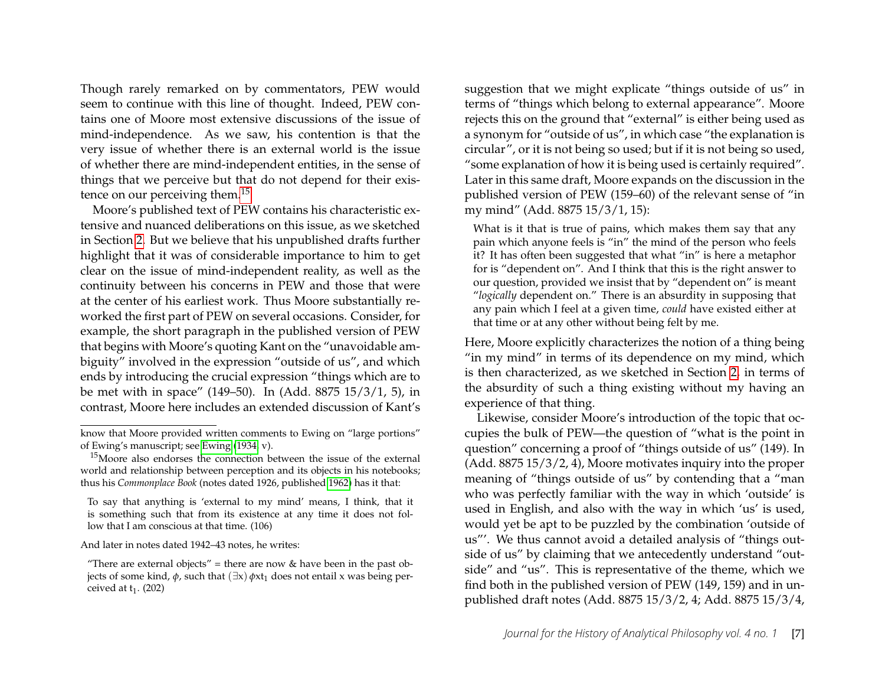Though rarely remarked on by commentators, PEW would seem to continue with this line of thought. Indeed, PEW contains one of Moore most extensive discussions of the issue of mind-independence. As we saw, his contention is that the very issue of whether there is an external world is the issue of whether there are mind-independent entities, in the sense of things that we perceive but that do not depend for their existence on our perceiving them.[15](#page-7-0)

Moore's published text of PEW contains his characteristic extensive and nuanced deliberations on this issue, as we sketched in Section [2.](#page-3-1) But we believe that his unpublished drafts further highlight that it was of considerable importance to him to get clear on the issue of mind-independent reality, as well as the continuity between his concerns in PEW and those that were at the center of his earliest work. Thus Moore substantially reworked the first part of PEW on several occasions. Consider, for example, the short paragraph in the published version of PEW that begins with Moore's quoting Kant on the "unavoidable ambiguity" involved in the expression "outside of us", and which ends by introducing the crucial expression "things which are to be met with in space" (149–50). In (Add. 8875 15/3/1, 5), in contrast, Moore here includes an extended discussion of Kant's

And later in notes dated 1942–43 notes, he writes:

"There are external objects" = there are now  $&$  have been in the past objects of some kind, *φ*, such that  $(∃x) *φ*xt<sub>1</sub>$  does not entail x was being perceived at  $t_1$ . (202)

suggestion that we might explicate "things outside of us" in terms of "things which belong to external appearance". Moore rejects this on the ground that "external" is either being used as a synonym for "outside of us", in which case "the explanation is circular", or it is not being so used; but if it is not being so used, "some explanation of how it is being used is certainly required". Later in this same draft, Moore expands on the discussion in the published version of PEW (159–60) of the relevant sense of "in my mind" (Add. 8875 15/3/1, 15):

What is it that is true of pains, which makes them say that any pain which anyone feels is "in" the mind of the person who feels it? It has often been suggested that what "in" is here a metaphor for is "dependent on". And I think that this is the right answer to our question, provided we insist that by "dependent on" is meant "*logically* dependent on." There is an absurdity in supposing that any pain which I feel at a given time, *could* have existed either at that time or at any other without being felt by me.

Here, Moore explicitly characterizes the notion of a thing being "in my mind" in terms of its dependence on my mind, which is then characterized, as we sketched in Section [2,](#page-3-1) in terms of the absurdity of such a thing existing without my having an experience of that thing.

Likewise, consider Moore's introduction of the topic that occupies the bulk of PEW—the question of "what is the point in question" concerning a proof of "things outside of us" (149). In (Add. 8875 15/3/2, 4), Moore motivates inquiry into the proper meaning of "things outside of us" by contending that a "man who was perfectly familiar with the way in which 'outside' is used in English, and also with the way in which 'us' is used, would yet be apt to be puzzled by the combination 'outside of us"'. We thus cannot avoid a detailed analysis of "things outside of us" by claiming that we antecedently understand "outside" and "us". This is representative of the theme, which we find both in the published version of PEW (149, 159) and in unpublished draft notes (Add. 8875 15/3/2, 4; Add. 8875 15/3/4,

know that Moore provided written comments to Ewing on "large portions" of Ewing's manuscript; see [Ewing \(1934,](#page-14-8) v).

<span id="page-7-0"></span><sup>&</sup>lt;sup>15</sup>Moore also endorses the connection between the issue of the external world and relationship between perception and its objects in his notebooks; thus his *Commonplace Book* (notes dated 1926, published [1962\)](#page-15-14) has it that:

To say that anything is 'external to my mind' means, I think, that it is something such that from its existence at any time it does not follow that I am conscious at that time. (106)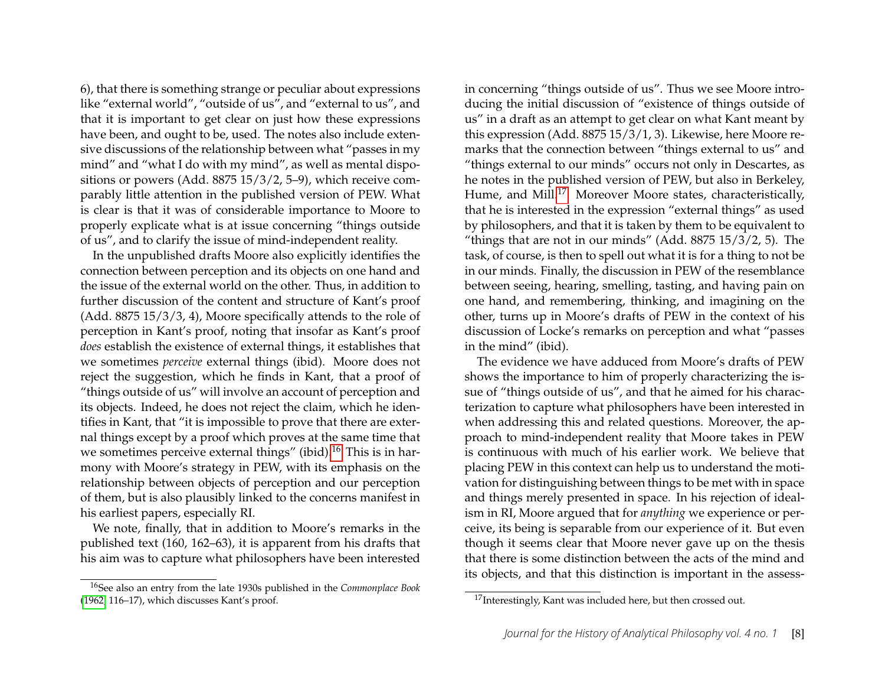6), that there is something strange or peculiar about expressions like "external world", "outside of us", and "external to us", and that it is important to get clear on just how these expressions have been, and ought to be, used. The notes also include extensive discussions of the relationship between what "passes in my mind" and "what I do with my mind", as well as mental dispositions or powers (Add. 8875 15/3/2, 5–9), which receive comparably little attention in the published version of PEW. What is clear is that it was of considerable importance to Moore to properly explicate what is at issue concerning "things outside of us", and to clarify the issue of mind-independent reality.

In the unpublished drafts Moore also explicitly identifies the connection between perception and its objects on one hand and the issue of the external world on the other. Thus, in addition to further discussion of the content and structure of Kant's proof (Add. 8875 15/3/3, 4), Moore specifically attends to the role of perception in Kant's proof, noting that insofar as Kant's proof *does* establish the existence of external things, it establishes that we sometimes *perceive* external things (ibid). Moore does not reject the suggestion, which he finds in Kant, that a proof of "things outside of us" will involve an account of perception and its objects. Indeed, he does not reject the claim, which he identifies in Kant, that "it is impossible to prove that there are external things except by a proof which proves at the same time that we sometimes perceive external things" (ibid).<sup>[16](#page-8-0)</sup> This is in harmony with Moore's strategy in PEW, with its emphasis on the relationship between objects of perception and our perception of them, but is also plausibly linked to the concerns manifest in his earliest papers, especially RI.

We note, finally, that in addition to Moore's remarks in the published text (160, 162–63), it is apparent from his drafts that his aim was to capture what philosophers have been interested

in concerning "things outside of us". Thus we see Moore introducing the initial discussion of "existence of things outside of us" in a draft as an attempt to get clear on what Kant meant by this expression (Add. 8875 15/3/1, 3). Likewise, here Moore remarks that the connection between "things external to us" and "things external to our minds" occurs not only in Descartes, as he notes in the published version of PEW, but also in Berkeley, Hume, and Mill.<sup>[17](#page-8-1)</sup> Moreover Moore states, characteristically, that he is interested in the expression "external things" as used by philosophers, and that it is taken by them to be equivalent to "things that are not in our minds" (Add.  $8875\ 15/3/2$ , 5). The task, of course, is then to spell out what it is for a thing to not be in our minds. Finally, the discussion in PEW of the resemblance between seeing, hearing, smelling, tasting, and having pain on one hand, and remembering, thinking, and imagining on the other, turns up in Moore's drafts of PEW in the context of his discussion of Locke's remarks on perception and what "passes in the mind" (ibid).

The evidence we have adduced from Moore's drafts of PEW shows the importance to him of properly characterizing the issue of "things outside of us", and that he aimed for his characterization to capture what philosophers have been interested in when addressing this and related questions. Moreover, the approach to mind-independent reality that Moore takes in PEW is continuous with much of his earlier work. We believe that placing PEW in this context can help us to understand the motivation for distinguishing between things to be met with in space and things merely presented in space. In his rejection of idealism in RI, Moore argued that for *anything* we experience or perceive, its being is separable from our experience of it. But even though it seems clear that Moore never gave up on the thesis that there is some distinction between the acts of the mind and its objects, and that this distinction is important in the assess-

<span id="page-8-0"></span><sup>16</sup>See also an entry from the late 1930s published in the *Commonplace Book* [\(1962,](#page-15-14) 116–17), which discusses Kant's proof.

<span id="page-8-1"></span> $17$ Interestingly, Kant was included here, but then crossed out.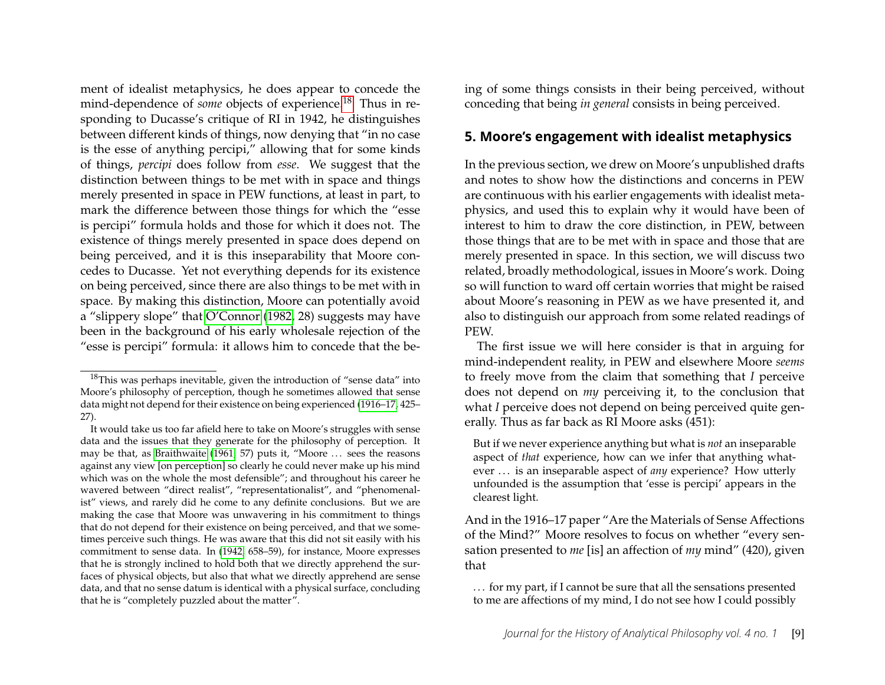ment of idealist metaphysics, he does appear to concede the mind-dependence of *some* objects of experience.[18](#page-9-1) Thus in responding to Ducasse's critique of RI in 1942, he distinguishes between different kinds of things, now denying that "in no case is the esse of anything percipi," allowing that for some kinds of things, *percipi* does follow from *esse*. We suggest that the distinction between things to be met with in space and things merely presented in space in PEW functions, at least in part, to mark the difference between those things for which the "esse is percipi" formula holds and those for which it does not. The existence of things merely presented in space does depend on being perceived, and it is this inseparability that Moore concedes to Ducasse. Yet not everything depends for its existence on being perceived, since there are also things to be met with in space. By making this distinction, Moore can potentially avoid a "slippery slope" that [O'Connor \(1982,](#page-16-14) 28) suggests may have been in the background of his early wholesale rejection of the "esse is percipi" formula: it allows him to concede that the being of some things consists in their being perceived, without conceding that being *in general* consists in being perceived.

## <span id="page-9-0"></span>**5. Moore's engagement with idealist metaphysics**

In the previous section, we drew on Moore's unpublished drafts and notes to show how the distinctions and concerns in PEW are continuous with his earlier engagements with idealist metaphysics, and used this to explain why it would have been of interest to him to draw the core distinction, in PEW, between those things that are to be met with in space and those that are merely presented in space. In this section, we will discuss two related, broadly methodological, issues in Moore's work. Doing so will function to ward off certain worries that might be raised about Moore's reasoning in PEW as we have presented it, and also to distinguish our approach from some related readings of PEW.

The first issue we will here consider is that in arguing for mind-independent reality, in PEW and elsewhere Moore *seems* to freely move from the claim that something that *I* perceive does not depend on *my* perceiving it, to the conclusion that what *I* perceive does not depend on being perceived quite generally. Thus as far back as RI Moore asks (451):

But if we never experience anything but what is *not* an inseparable aspect of *that* experience, how can we infer that anything whatever . . . is an inseparable aspect of *any* experience? How utterly unfounded is the assumption that 'esse is percipi' appears in the clearest light.

And in the 1916–17 paper "Are the Materials of Sense Affections of the Mind?" Moore resolves to focus on whether "every sensation presented to *me* [is] an affection of *my* mind" (420), given that

... for my part, if I cannot be sure that all the sensations presented to me are affections of my mind, I do not see how I could possibly

<span id="page-9-1"></span><sup>&</sup>lt;sup>18</sup>This was perhaps inevitable, given the introduction of "sense data" into Moore's philosophy of perception, though he sometimes allowed that sense data might not depend for their existence on being experienced [\(1916–17,](#page-15-12) 425– 27).

It would take us too far afield here to take on Moore's struggles with sense data and the issues that they generate for the philosophy of perception. It may be that, as [Braithwaite \(1961,](#page-14-1) 57) puts it, "Moore ... sees the reasons against any view [on perception] so clearly he could never make up his mind which was on the whole the most defensible"; and throughout his career he wavered between "direct realist", "representationalist", and "phenomenalist" views, and rarely did he come to any definite conclusions. But we are making the case that Moore was unwavering in his commitment to things that do not depend for their existence on being perceived, and that we sometimes perceive such things. He was aware that this did not sit easily with his commitment to sense data. In [\(1942,](#page-15-9) 658–59), for instance, Moore expresses that he is strongly inclined to hold both that we directly apprehend the surfaces of physical objects, but also that what we directly apprehend are sense data, and that no sense datum is identical with a physical surface, concluding that he is "completely puzzled about the matter".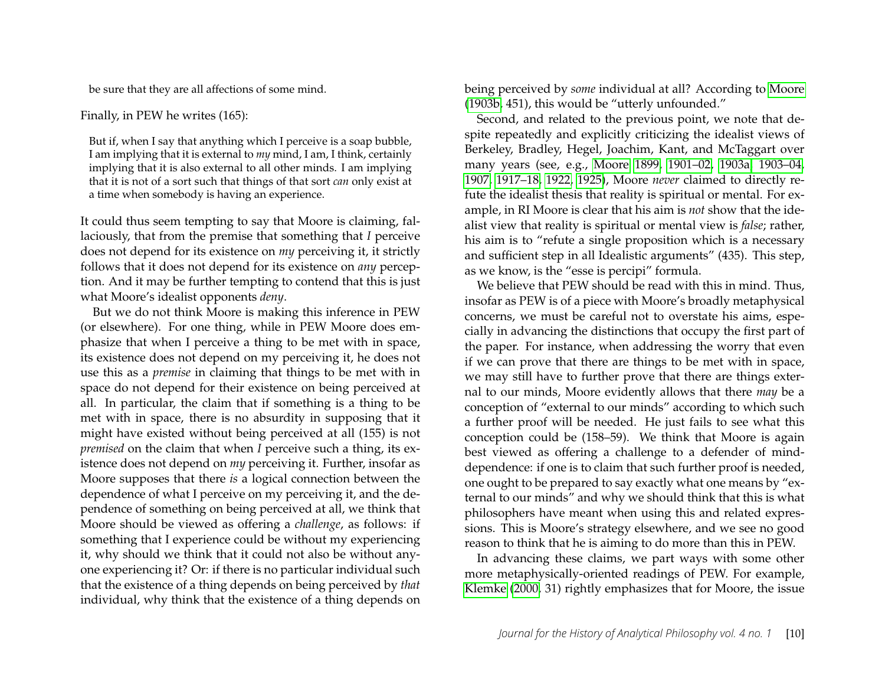be sure that they are all affections of some mind.

#### Finally, in PEW he writes (165):

But if, when I say that anything which I perceive is a soap bubble, I am implying that it is external to *my* mind, I am, I think, certainly implying that it is also external to all other minds. I am implying that it is not of a sort such that things of that sort *can* only exist at a time when somebody is having an experience.

It could thus seem tempting to say that Moore is claiming, fallaciously, that from the premise that something that *I* perceive does not depend for its existence on *my* perceiving it, it strictly follows that it does not depend for its existence on *any* perception. And it may be further tempting to contend that this is just what Moore's idealist opponents *deny*.

But we do not think Moore is making this inference in PEW (or elsewhere). For one thing, while in PEW Moore does emphasize that when I perceive a thing to be met with in space, its existence does not depend on my perceiving it, he does not use this as a *premise* in claiming that things to be met with in space do not depend for their existence on being perceived at all. In particular, the claim that if something is a thing to be met with in space, there is no absurdity in supposing that it might have existed without being perceived at all (155) is not *premised* on the claim that when *I* perceive such a thing, its existence does not depend on *my* perceiving it. Further, insofar as Moore supposes that there *is* a logical connection between the dependence of what I perceive on my perceiving it, and the dependence of something on being perceived at all, we think that Moore should be viewed as offering a *challenge*, as follows: if something that I experience could be without my experiencing it, why should we think that it could not also be without anyone experiencing it? Or: if there is no particular individual such that the existence of a thing depends on being perceived by *that* individual, why think that the existence of a thing depends on

being perceived by *some* individual at all? According to [Moore](#page-15-2) [\(1903b,](#page-15-2) 451), this would be "utterly unfounded."

Second, and related to the previous point, we note that despite repeatedly and explicitly criticizing the idealist views of Berkeley, Bradley, Hegel, Joachim, Kant, and McTaggart over many years (see, e.g., [Moore 1899,](#page-15-0) [1901–02,](#page-15-15) [1903a](#page-15-1)[, 1903–04,](#page-15-16) [1907,](#page-15-17) [1917–18,](#page-15-13) [1922,](#page-15-18) [1925\)](#page-15-11), Moore *never* claimed to directly refute the idealist thesis that reality is spiritual or mental. For example, in RI Moore is clear that his aim is *not* show that the idealist view that reality is spiritual or mental view is *false*; rather, his aim is to "refute a single proposition which is a necessary and sufficient step in all Idealistic arguments" (435). This step, as we know, is the "esse is percipi" formula.

We believe that PEW should be read with this in mind. Thus, insofar as PEW is of a piece with Moore's broadly metaphysical concerns, we must be careful not to overstate his aims, especially in advancing the distinctions that occupy the first part of the paper. For instance, when addressing the worry that even if we can prove that there are things to be met with in space, we may still have to further prove that there are things external to our minds, Moore evidently allows that there *may* be a conception of "external to our minds" according to which such a further proof will be needed. He just fails to see what this conception could be (158–59). We think that Moore is again best viewed as offering a challenge to a defender of minddependence: if one is to claim that such further proof is needed, one ought to be prepared to say exactly what one means by "external to our minds" and why we should think that this is what philosophers have meant when using this and related expressions. This is Moore's strategy elsewhere, and we see no good reason to think that he is aiming to do more than this in PEW.

In advancing these claims, we part ways with some other more metaphysically-oriented readings of PEW. For example, [Klemke \(2000,](#page-15-8) 31) rightly emphasizes that for Moore, the issue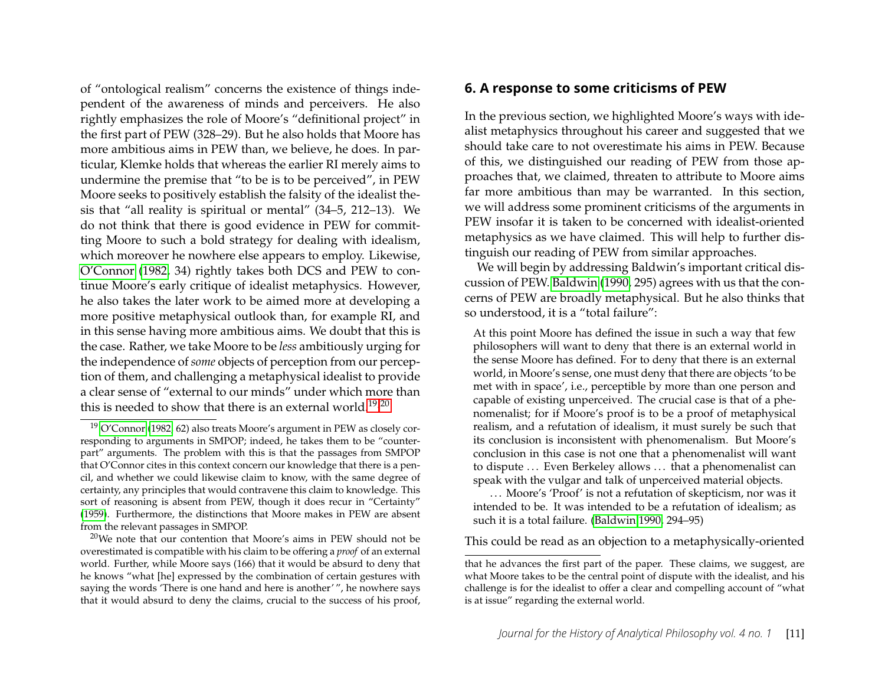of "ontological realism" concerns the existence of things independent of the awareness of minds and perceivers. He also rightly emphasizes the role of Moore's "definitional project" in the first part of PEW (328–29). But he also holds that Moore has more ambitious aims in PEW than, we believe, he does. In particular, Klemke holds that whereas the earlier RI merely aims to undermine the premise that "to be is to be perceived", in PEW Moore seeks to positively establish the falsity of the idealist thesis that "all reality is spiritual or mental" (34–5, 212–13). We do not think that there is good evidence in PEW for committing Moore to such a bold strategy for dealing with idealism, which moreover he nowhere else appears to employ. Likewise, [O'Connor](#page-16-14) [\(1982,](#page-16-14) 34) rightly takes both DCS and PEW to continue Moore's early critique of idealist metaphysics. However, he also takes the later work to be aimed more at developing a more positive metaphysical outlook than, for example RI, and in this sense having more ambitious aims. We doubt that this is the case. Rather, we take Moore to be *less* ambitiously urging for the independence of *some* objects of perception from our perception of them, and challenging a metaphysical idealist to provide a clear sense of "external to our minds" under which more than this is needed to show that there is an external world.<sup>[19,](#page-11-1)[20](#page-11-2)</sup>

#### <span id="page-11-0"></span>**6. A response to some criticisms of PEW**

In the previous section, we highlighted Moore's ways with idealist metaphysics throughout his career and suggested that we should take care to not overestimate his aims in PEW. Because of this, we distinguished our reading of PEW from those approaches that, we claimed, threaten to attribute to Moore aims far more ambitious than may be warranted. In this section, we will address some prominent criticisms of the arguments in PEW insofar it is taken to be concerned with idealist-oriented metaphysics as we have claimed. This will help to further distinguish our reading of PEW from similar approaches.

We will begin by addressing Baldwin's important critical discussion of PEW. [Baldwin](#page-14-5) [\(1990,](#page-14-5) 295) agrees with us that the concerns of PEW are broadly metaphysical. But he also thinks that so understood, it is a "total failure":

At this point Moore has defined the issue in such a way that few philosophers will want to deny that there is an external world in the sense Moore has defined. For to deny that there is an external world, in Moore's sense, one must deny that there are objects 'to be met with in space', i.e., perceptible by more than one person and capable of existing unperceived. The crucial case is that of a phenomenalist; for if Moore's proof is to be a proof of metaphysical realism, and a refutation of idealism, it must surely be such that its conclusion is inconsistent with phenomenalism. But Moore's conclusion in this case is not one that a phenomenalist will want to dispute ... Even Berkeley allows ... that a phenomenalist can speak with the vulgar and talk of unperceived material objects.

... Moore's 'Proof' is not a refutation of skepticism, nor was it intended to be. It was intended to be a refutation of idealism; as such it is a total failure. [\(Baldwin 1990,](#page-14-5) 294–95)

This could be read as an objection to a metaphysically-oriented

<span id="page-11-1"></span><sup>19</sup> [O'Connor \(1982,](#page-16-14) 62) also treats Moore's argument in PEW as closely corresponding to arguments in SMPOP; indeed, he takes them to be "counterpart" arguments. The problem with this is that the passages from SMPOP that O'Connor cites in this context concern our knowledge that there is a pencil, and whether we could likewise claim to know, with the same degree of certainty, any principles that would contravene this claim to knowledge. This sort of reasoning is absent from PEW, though it does recur in "Certainty" [\(1959\)](#page-15-19). Furthermore, the distinctions that Moore makes in PEW are absent from the relevant passages in SMPOP.

<span id="page-11-2"></span> $20$ We note that our contention that Moore's aims in PEW should not be overestimated is compatible with his claim to be offering a *proof* of an external world. Further, while Moore says (166) that it would be absurd to deny that he knows "what [he] expressed by the combination of certain gestures with saying the words 'There is one hand and here is another' ", he nowhere says that it would absurd to deny the claims, crucial to the success of his proof,

that he advances the first part of the paper. These claims, we suggest, are what Moore takes to be the central point of dispute with the idealist, and his challenge is for the idealist to offer a clear and compelling account of "what is at issue" regarding the external world.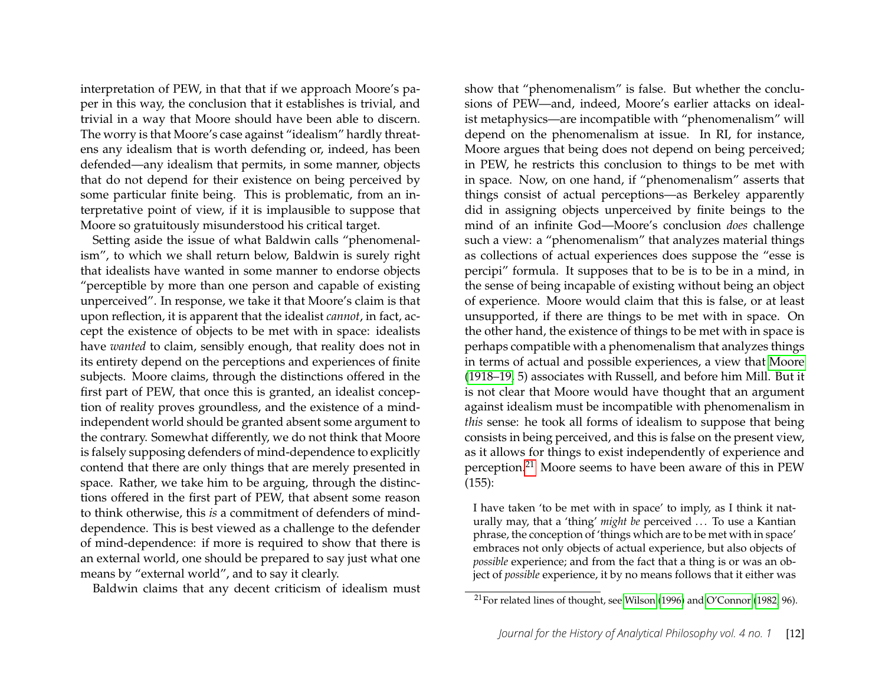interpretation of PEW, in that that if we approach Moore's paper in this way, the conclusion that it establishes is trivial, and trivial in a way that Moore should have been able to discern. The worry is that Moore's case against "idealism" hardly threatens any idealism that is worth defending or, indeed, has been defended—any idealism that permits, in some manner, objects that do not depend for their existence on being perceived by some particular finite being. This is problematic, from an interpretative point of view, if it is implausible to suppose that Moore so gratuitously misunderstood his critical target.

Setting aside the issue of what Baldwin calls "phenomenalism", to which we shall return below, Baldwin is surely right that idealists have wanted in some manner to endorse objects "perceptible by more than one person and capable of existing unperceived". In response, we take it that Moore's claim is that upon reflection, it is apparent that the idealist *cannot*, in fact, accept the existence of objects to be met with in space: idealists have *wanted* to claim, sensibly enough, that reality does not in its entirety depend on the perceptions and experiences of finite subjects. Moore claims, through the distinctions offered in the first part of PEW, that once this is granted, an idealist conception of reality proves groundless, and the existence of a mindindependent world should be granted absent some argument to the contrary. Somewhat differently, we do not think that Moore is falsely supposing defenders of mind-dependence to explicitly contend that there are only things that are merely presented in space. Rather, we take him to be arguing, through the distinctions offered in the first part of PEW, that absent some reason to think otherwise, this *is* a commitment of defenders of minddependence. This is best viewed as a challenge to the defender of mind-dependence: if more is required to show that there is an external world, one should be prepared to say just what one means by "external world", and to say it clearly.

Baldwin claims that any decent criticism of idealism must

show that "phenomenalism" is false. But whether the conclusions of PEW—and, indeed, Moore's earlier attacks on idealist metaphysics—are incompatible with "phenomenalism" will depend on the phenomenalism at issue. In RI, for instance, Moore argues that being does not depend on being perceived; in PEW, he restricts this conclusion to things to be met with in space. Now, on one hand, if "phenomenalism" asserts that things consist of actual perceptions—as Berkeley apparently did in assigning objects unperceived by finite beings to the mind of an infinite God—Moore's conclusion *does* challenge such a view: a "phenomenalism" that analyzes material things as collections of actual experiences does suppose the "esse is percipi" formula. It supposes that to be is to be in a mind, in the sense of being incapable of existing without being an object of experience. Moore would claim that this is false, or at least unsupported, if there are things to be met with in space. On the other hand, the existence of things to be met with in space is perhaps compatible with a phenomenalism that analyzes things in terms of actual and possible experiences, a view that [Moore](#page-15-20) [\(1918–19,](#page-15-20) 5) associates with Russell, and before him Mill. But it is not clear that Moore would have thought that an argument against idealism must be incompatible with phenomenalism in *this* sense: he took all forms of idealism to suppose that being consists in being perceived, and this is false on the present view, as it allows for things to exist independently of experience and perception.[21](#page-12-0) Moore seems to have been aware of this in PEW (155):

I have taken 'to be met with in space' to imply, as I think it naturally may, that a 'thing' *might be* perceived ... To use a Kantian phrase, the conception of 'things which are to be met with in space' embraces not only objects of actual experience, but also objects of *possible* experience; and from the fact that a thing is or was an object of *possible* experience, it by no means follows that it either was

<span id="page-12-0"></span><sup>&</sup>lt;sup>21</sup>For related lines of thought, see [Wilson \(1996\)](#page-16-19) and [O'Connor \(1982,](#page-16-14) 96).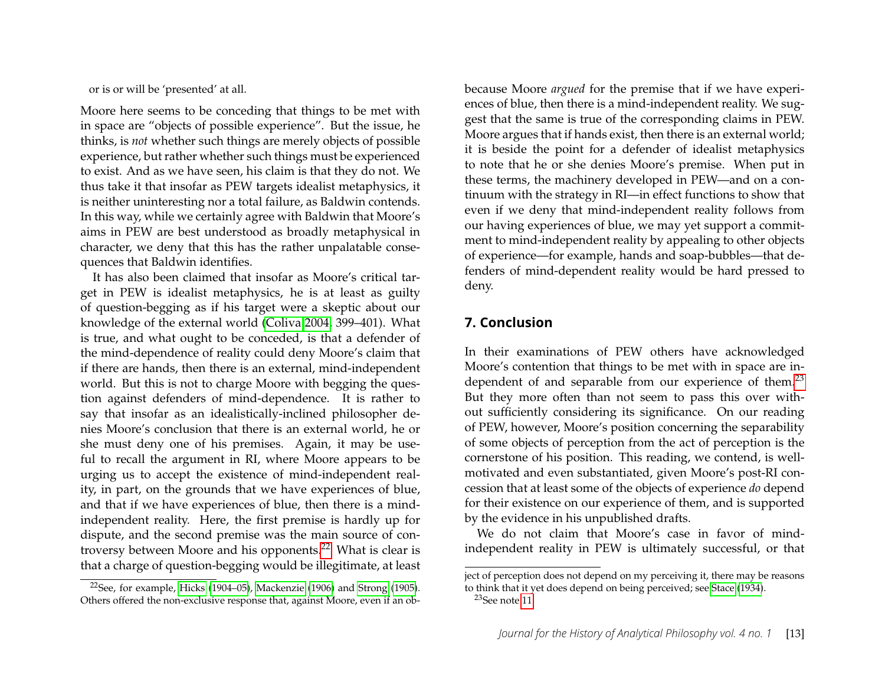or is or will be 'presented' at all.

Moore here seems to be conceding that things to be met with in space are "objects of possible experience". But the issue, he thinks, is *not* whether such things are merely objects of possible experience, but rather whether such things must be experienced to exist. And as we have seen, his claim is that they do not. We thus take it that insofar as PEW targets idealist metaphysics, it is neither uninteresting nor a total failure, as Baldwin contends. In this way, while we certainly agree with Baldwin that Moore's aims in PEW are best understood as broadly metaphysical in character, we deny that this has the rather unpalatable consequences that Baldwin identifies.

It has also been claimed that insofar as Moore's critical target in PEW is idealist metaphysics, he is at least as guilty of question-begging as if his target were a skeptic about our knowledge of the external world [\(Coliva 2004,](#page-14-2) 399–401). What is true, and what ought to be conceded, is that a defender of the mind-dependence of reality could deny Moore's claim that if there are hands, then there is an external, mind-independent world. But this is not to charge Moore with begging the question against defenders of mind-dependence. It is rather to say that insofar as an idealistically-inclined philosopher denies Moore's conclusion that there is an external world, he or she must deny one of his premises. Again, it may be useful to recall the argument in RI, where Moore appears to be urging us to accept the existence of mind-independent reality, in part, on the grounds that we have experiences of blue, and that if we have experiences of blue, then there is a mindindependent reality. Here, the first premise is hardly up for dispute, and the second premise was the main source of controversy between Moore and his opponents.[22](#page-13-0) What is clear is that a charge of question-begging would be illegitimate, at least because Moore *argued* for the premise that if we have experiences of blue, then there is a mind-independent reality. We suggest that the same is true of the corresponding claims in PEW. Moore argues that if hands exist, then there is an external world; it is beside the point for a defender of idealist metaphysics to note that he or she denies Moore's premise. When put in these terms, the machinery developed in PEW—and on a continuum with the strategy in RI—in effect functions to show that even if we deny that mind-independent reality follows from our having experiences of blue, we may yet support a commitment to mind-independent reality by appealing to other objects of experience—for example, hands and soap-bubbles—that defenders of mind-dependent reality would be hard pressed to deny.

#### **7. Conclusion**

In their examinations of PEW others have acknowledged Moore's contention that things to be met with in space are in-dependent of and separable from our experience of them.<sup>[23](#page-13-1)</sup> But they more often than not seem to pass this over without sufficiently considering its significance. On our reading of PEW, however, Moore's position concerning the separability of some objects of perception from the act of perception is the cornerstone of his position. This reading, we contend, is wellmotivated and even substantiated, given Moore's post-RI concession that at least some of the objects of experience *do* depend for their existence on our experience of them, and is supported by the evidence in his unpublished drafts.

We do not claim that Moore's case in favor of mindindependent reality in PEW is ultimately successful, or that

<span id="page-13-0"></span><sup>&</sup>lt;sup>22</sup>See, for example, [Hicks](#page-15-21) [\(1904–05\)](#page-15-21), [Mackenzie \(1906\)](#page-15-22) and [Strong \(1905\)](#page-16-20). Others offered the non-exclusive response that, against Moore, even if an ob-

ject of perception does not depend on my perceiving it, there may be reasons to think that it yet does depend on being perceived; see [Stace \(1934\)](#page-16-21).

<span id="page-13-1"></span> $23$ See note [11.](#page-5-0)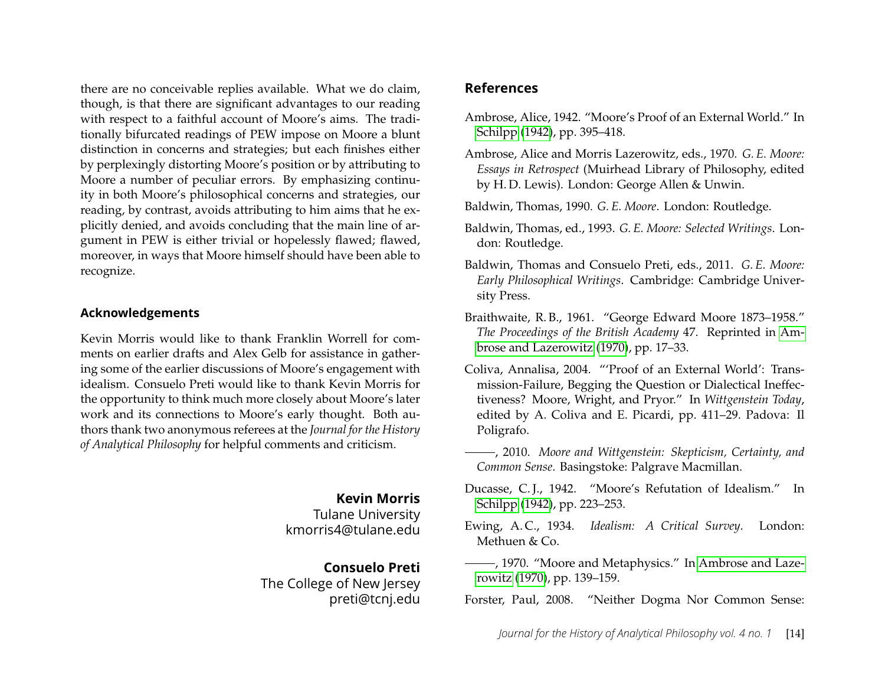there are no conceivable replies available. What we do claim, though, is that there are significant advantages to our reading with respect to a faithful account of Moore's aims. The traditionally bifurcated readings of PEW impose on Moore a blunt distinction in concerns and strategies; but each finishes either by perplexingly distorting Moore's position or by attributing to Moore a number of peculiar errors. By emphasizing continuity in both Moore's philosophical concerns and strategies, our reading, by contrast, avoids attributing to him aims that he explicitly denied, and avoids concluding that the main line of argument in PEW is either trivial or hopelessly flawed; flawed, moreover, in ways that Moore himself should have been able to recognize.

#### **Acknowledgements**

Kevin Morris would like to thank Franklin Worrell for comments on earlier drafts and Alex Gelb for assistance in gathering some of the earlier discussions of Moore's engagement with idealism. Consuelo Preti would like to thank Kevin Morris for the opportunity to think much more closely about Moore's later work and its connections to Moore's early thought. Both authors thank two anonymous referees at the *Journal for the History of Analytical Philosophy* for helpful comments and criticism.

> **Kevin Morris** Tulane University kmorris4@tulane.edu

**Consuelo Preti** The College of New Jersey preti@tcnj.edu

#### **References**

- <span id="page-14-4"></span>Ambrose, Alice, 1942. "Moore's Proof of an External World." In [Schilpp](#page-16-22) [\(1942\)](#page-16-22), pp. 395–418.
- <span id="page-14-9"></span>Ambrose, Alice and Morris Lazerowitz, eds., 1970. *G. E. Moore: Essays in Retrospect* (Muirhead Library of Philosophy, edited by H. D. Lewis). London: George Allen & Unwin.
- <span id="page-14-5"></span>Baldwin, Thomas, 1990. *G. E. Moore*. London: Routledge.
- <span id="page-14-10"></span>Baldwin, Thomas, ed., 1993. *G. E. Moore: Selected Writings*. London: Routledge.
- <span id="page-14-0"></span>Baldwin, Thomas and Consuelo Preti, eds., 2011. *G. E. Moore: Early Philosophical Writings*. Cambridge: Cambridge University Press.
- <span id="page-14-1"></span>Braithwaite, R. B., 1961. "George Edward Moore 1873–1958." *The Proceedings of the British Academy* 47. Reprinted in [Am](#page-14-9)[brose and Lazerowitz \(1970\)](#page-14-9), pp. 17–33.
- <span id="page-14-2"></span>Coliva, Annalisa, 2004. "'Proof of an External World': Transmission-Failure, Begging the Question or Dialectical Ineffectiveness? Moore, Wright, and Pryor." In *Wittgenstein Today*, edited by A. Coliva and E. Picardi, pp. 411–29. Padova: Il Poligrafo.
- <span id="page-14-3"></span>, 2010. *Moore and Wittgenstein: Skepticism, Certainty, and Common Sense*. Basingstoke: Palgrave Macmillan.
- Ducasse, C. J., 1942. "Moore's Refutation of Idealism." In [Schilpp](#page-16-22) [\(1942\)](#page-16-22), pp. 223–253.
- <span id="page-14-8"></span>Ewing, A. C., 1934. *Idealism: A Critical Survey*. London: Methuen & Co.
- <span id="page-14-6"></span>-, 1970. "Moore and Metaphysics." In [Ambrose and Laze](#page-14-9)[rowitz \(1970\)](#page-14-9), pp. 139–159.
- <span id="page-14-7"></span>Forster, Paul, 2008. "Neither Dogma Nor Common Sense: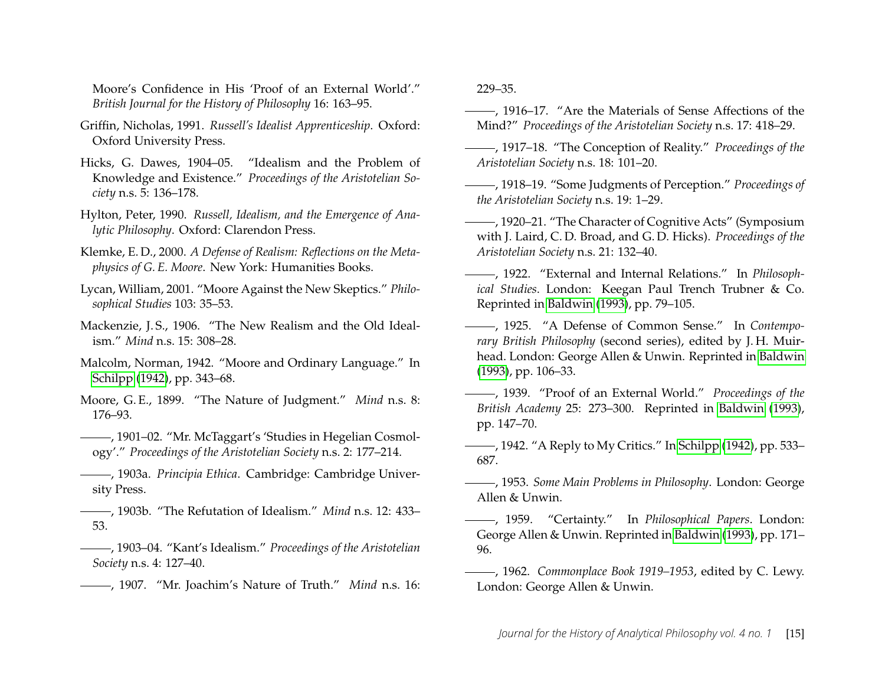Moore's Confidence in His 'Proof of an External World'." *British Journal for the History of Philosophy* 16: 163–95.

- <span id="page-15-3"></span>Griffin, Nicholas, 1991. *Russell's Idealist Apprenticeship*. Oxford: Oxford University Press.
- <span id="page-15-21"></span>Hicks, G. Dawes, 1904–05. "Idealism and the Problem of Knowledge and Existence." *Proceedings of the Aristotelian Society* n.s. 5: 136–178.
- <span id="page-15-4"></span>Hylton, Peter, 1990. *Russell, Idealism, and the Emergence of Analytic Philosophy*. Oxford: Clarendon Press.
- <span id="page-15-8"></span>Klemke, E. D., 2000. *A Defense of Realism: Reflections on the Metaphysics of G. E. Moore*. New York: Humanities Books.
- <span id="page-15-6"></span>Lycan, William, 2001. "Moore Against the New Skeptics." *Philosophical Studies* 103: 35–53.
- <span id="page-15-22"></span>Mackenzie, J.S., 1906. "The New Realism and the Old Idealism." *Mind* n.s. 15: 308–28.
- <span id="page-15-7"></span>Malcolm, Norman, 1942. "Moore and Ordinary Language." In [Schilpp](#page-16-22) [\(1942\)](#page-16-22), pp. 343–68.
- <span id="page-15-0"></span>Moore, G. E., 1899. "The Nature of Judgment." *Mind* n.s. 8: 176–93.
- <span id="page-15-15"></span>, 1901–02. "Mr. McTaggart's 'Studies in Hegelian Cosmology'." *Proceedings of the Aristotelian Society* n.s. 2: 177–214.
- <span id="page-15-1"></span>, 1903a. *Principia Ethica*. Cambridge: Cambridge University Press.
- <span id="page-15-2"></span>, 1903b. "The Refutation of Idealism." *Mind* n.s. 12: 433– 53.
- <span id="page-15-16"></span>, 1903–04. "Kant's Idealism." *Proceedings of the Aristotelian Society* n.s. 4: 127–40.
- <span id="page-15-17"></span>, 1907. "Mr. Joachim's Nature of Truth." *Mind* n.s. 16:

#### 229–35.

- <span id="page-15-12"></span>, 1916–17. "Are the Materials of Sense Affections of the Mind?" *Proceedings of the Aristotelian Society* n.s. 17: 418–29.
- <span id="page-15-13"></span>, 1917–18. "The Conception of Reality." *Proceedings of the Aristotelian Society* n.s. 18: 101–20.
- <span id="page-15-20"></span>, 1918–19. "Some Judgments of Perception." *Proceedings of the Aristotelian Society* n.s. 19: 1–29.
- , 1920–21. "The Character of Cognitive Acts" (Symposium with J. Laird, C. D. Broad, and G. D. Hicks). *Proceedings of the Aristotelian Society* n.s. 21: 132–40.
- <span id="page-15-18"></span>, 1922. "External and Internal Relations." In *Philosophical Studies*. London: Keegan Paul Trench Trubner & Co. Reprinted in [Baldwin \(1993\)](#page-14-10), pp. 79–105.
- <span id="page-15-11"></span>, 1925. "A Defense of Common Sense." In *Contemporary British Philosophy* (second series), edited by J. H. Muirhead. London: George Allen & Unwin. Reprinted in [Baldwin](#page-14-10) [\(1993\)](#page-14-10), pp. 106–33.
- <span id="page-15-5"></span>, 1939. "Proof of an External World." *Proceedings of the British Academy* 25: 273–300. Reprinted in [Baldwin](#page-14-10) [\(1993\)](#page-14-10), pp. 147–70.
- <span id="page-15-9"></span>, 1942. "A Reply to My Critics." In [Schilpp](#page-16-22) [\(1942\)](#page-16-22), pp. 533– 687.
- <span id="page-15-10"></span>, 1953. *Some Main Problems in Philosophy*. London: George Allen & Unwin.
- <span id="page-15-19"></span>, 1959. "Certainty." In *Philosophical Papers*. London: George Allen & Unwin. Reprinted in [Baldwin](#page-14-10) [\(1993\)](#page-14-10), pp. 171– 96.
- <span id="page-15-14"></span>, 1962. *Commonplace Book 1919–1953*, edited by C. Lewy. London: George Allen & Unwin.